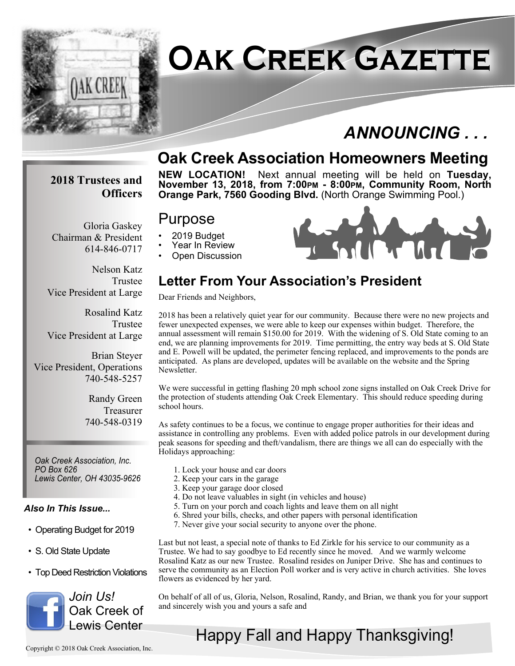

# **Oak Creek Gazette**

# *ANNOUNCING . . .*

## **Oak Creek Association Homeowners Meeting**

#### **2018 Trustees and Officers**

Chairman & President

Gloria Gaskey

614-846-0717

**NEW LOCATION!** Next annual meeting will be held on **Tuesday, November 13, 2018, from 7:00PM - 8:00PM, Community Room, North Orange Park, 7560 Gooding Blvd.** (North Orange Swimming Pool.)

#### Purpose

- 2019 Budget
- Year In Review
- Open Discussion

Nelson Katz Trustee Vice President at Large

Rosalind Katz Trustee Vice President at Large

Brian Steyer Vice President, Operations 740-548-5257

> Randy Green Treasurer 740-548-0319

*Oak Creek Association, Inc. PO Box 626 Lewis Center, OH 43035-9626*

#### *Also In This Issue...*

- Operating Budget for 2019
- S. Old State Update
- Top Deed Restriction Violations



### **Letter From Your Association's President**

Dear Friends and Neighbors,

2018 has been a relatively quiet year for our community. Because there were no new projects and fewer unexpected expenses, we were able to keep our expenses within budget. Therefore, the annual assessment will remain \$150.00 for 2019. With the widening of S. Old State coming to an end, we are planning improvements for 2019. Time permitting, the entry way beds at S. Old State and E. Powell will be updated, the perimeter fencing replaced, and improvements to the ponds are anticipated. As plans are developed, updates will be available on the website and the Spring Newsletter.

We were successful in getting flashing 20 mph school zone signs installed on Oak Creek Drive for the protection of students attending Oak Creek Elementary. This should reduce speeding during school hours.

As safety continues to be a focus, we continue to engage proper authorities for their ideas and assistance in controlling any problems. Even with added police patrols in our development during peak seasons for speeding and theft/vandalism, there are things we all can do especially with the Holidays approaching:

- 1. Lock your house and car doors
- 2. Keep your cars in the garage
- 3. Keep your garage door closed
- 4. Do not leave valuables in sight (in vehicles and house)
- 5. Turn on your porch and coach lights and leave them on all night
- 6. Shred your bills, checks, and other papers with personal identification
- 7. Never give your social security to anyone over the phone.

Last but not least, a special note of thanks to Ed Zirkle for his service to our community as a Trustee. We had to say goodbye to Ed recently since he moved. And we warmly welcome Rosalind Katz as our new Trustee. Rosalind resides on Juniper Drive. She has and continues to serve the community as an Election Poll worker and is very active in church activities. She loves flowers as evidenced by her yard.

On behalf of all of us, Gloria, Nelson, Rosalind, Randy, and Brian, we thank you for your support and sincerely wish you and yours a safe and

# Happy Fall and Happy Thanksgiving!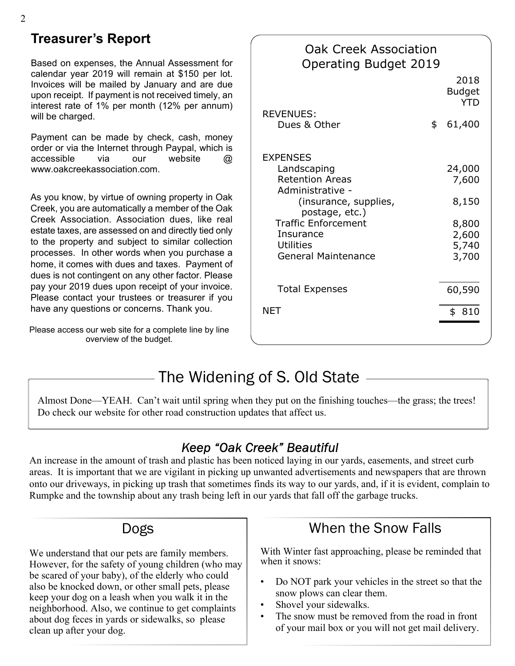#### **Treasurer's Report**

Based on expenses, the Annual Assessment for calendar year 2019 will remain at \$150 per lot. Invoices will be mailed by January and are due upon receipt. If payment is not received timely, an interest rate of 1% per month (12% per annum) will be charged.

Payment can be made by check, cash, money order or via the Internet through Paypal, which is accessible via our website @ www.oakcreekassociation.com.

As you know, by virtue of owning property in Oak Creek, you are automatically a member of the Oak Creek Association. Association dues, like real estate taxes, are assessed on and directly tied only to the property and subject to similar collection processes. In other words when you purchase a home, it comes with dues and taxes. Payment of dues is not contingent on any other factor. Please pay your 2019 dues upon receipt of your invoice. Please contact your trustees or treasurer if you have any questions or concerns. Thank you.

Please access our web site for a complete line by line overview of the budget.

| Oak Creek Association<br><b>Operating Budget 2019</b>                                                                                                                                                                |    |                                     |
|----------------------------------------------------------------------------------------------------------------------------------------------------------------------------------------------------------------------|----|-------------------------------------|
|                                                                                                                                                                                                                      |    | 2018<br><b>Budget</b><br><b>YTD</b> |
| <b>REVENUES:</b><br>Dues & Other                                                                                                                                                                                     | \$ | 61,400                              |
| <b>EXPENSES</b><br>Landscaping<br><b>Retention Areas</b><br>Administrative -<br>(insurance, supplies,<br>postage, etc.)<br><b>Traffic Enforcement</b><br>Insurance<br><b>Utilities</b><br><b>General Maintenance</b> |    | 24,000<br>7,600<br>8,150<br>8,800   |
|                                                                                                                                                                                                                      |    | 2,600<br>5,740<br>3,700             |
| <b>Total Expenses</b>                                                                                                                                                                                                |    | 60,590                              |
| <b>NET</b>                                                                                                                                                                                                           |    | \$810                               |

# The Widening of S. Old State

Almost Done—YEAH. Can't wait until spring when they put on the finishing touches—the grass; the trees! Do check our website for other road construction updates that affect us.

#### Keep "Oak Creek" Beautiful

An increase in the amount of trash and plastic has been noticed laying in our yards, easements, and street curb areas. It is important that we are vigilant in picking up unwanted advertisements and newspapers that are thrown onto our driveways, in picking up trash that sometimes finds its way to our yards, and, if it is evident, complain to Rumpke and the township about any trash being left in our yards that fall off the garbage trucks.

#### Dogs

We understand that our pets are family members. However, for the safety of young children (who may be scared of your baby), of the elderly who could also be knocked down, or other small pets, please keep your dog on a leash when you walk it in the neighborhood. Also, we continue to get complaints about dog feces in yards or sidewalks, so please clean up after your dog.

## When the Snow Falls

With Winter fast approaching, please be reminded that when it snows:

- Do NOT park your vehicles in the street so that the snow plows can clear them.
- Shovel your sidewalks.
- The snow must be removed from the road in front of your mail box or you will not get mail delivery.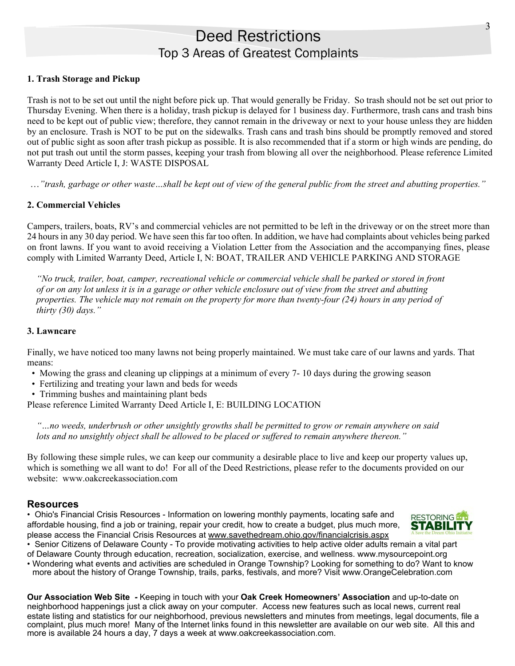#### Deed Restrictions Top 3 Areas of Greatest Complaints

#### **1. Trash Storage and Pickup**

Trash is not to be set out until the night before pick up. That would generally be Friday. So trash should not be set out prior to Thursday Evening. When there is a holiday, trash pickup is delayed for 1 business day. Furthermore, trash cans and trash bins need to be kept out of public view; therefore, they cannot remain in the driveway or next to your house unless they are hidden by an enclosure. Trash is NOT to be put on the sidewalks. Trash cans and trash bins should be promptly removed and stored out of public sight as soon after trash pickup as possible. It is also recommended that if a storm or high winds are pending, do not put trash out until the storm passes, keeping your trash from blowing all over the neighborhood. Please reference Limited Warranty Deed Article I, J: WASTE DISPOSAL

…*"trash, garbage or other waste…shall be kept out of view of the general public from the street and abutting properties."*

#### **2. Commercial Vehicles**

Campers, trailers, boats, RV's and commercial vehicles are not permitted to be left in the driveway or on the street more than 24 hours in any 30 day period. We have seen this far too often. In addition, we have had complaints about vehicles being parked on front lawns. If you want to avoid receiving a Violation Letter from the Association and the accompanying fines, please comply with Limited Warranty Deed, Article I, N: BOAT, TRAILER AND VEHICLE PARKING AND STORAGE

 *"No truck, trailer, boat, camper, recreational vehicle or commercial vehicle shall be parked or stored in front of or on any lot unless it is in a garage or other vehicle enclosure out of view from the street and abutting properties. The vehicle may not remain on the property for more than twenty-four (24) hours in any period of thirty (30) days."*

#### **3. Lawncare**

Finally, we have noticed too many lawns not being properly maintained. We must take care of our lawns and yards. That means:

- Mowing the grass and cleaning up clippings at a minimum of every 7- 10 days during the growing season
- Fertilizing and treating your lawn and beds for weeds
- Trimming bushes and maintaining plant beds

Please reference Limited Warranty Deed Article I, E: BUILDING LOCATION

 *"…no weeds, underbrush or other unsightly growths shall be permitted to grow or remain anywhere on said lots and no unsightly object shall be allowed to be placed or suffered to remain anywhere thereon."*

By following these simple rules, we can keep our community a desirable place to live and keep our property values up, which is something we all want to do! For all of the Deed Restrictions, please refer to the documents provided on our website: www.oakcreekassociation.com

#### **Resources**

• Ohio's Financial Crisis Resources - Information on lowering monthly payments, locating safe and affordable housing, find a job or training, repair your credit, how to create a budget, plus much more, please access the Financial Crisis Resources at www.savethedream.ohio.gov/financialcrisis.aspx



• Senior Citizens of Delaware County - To provide motivating activities to help active older adults remain a vital part

of Delaware County through education, recreation, socialization, exercise, and wellness. www.mysourcepoint.org

• Wondering what events and activities are scheduled in Orange Township? Looking for something to do? Want to know more about the history of Orange Township, trails, parks, festivals, and more? Visit www.OrangeCelebration.com

**Our Association Web Site** *-* Keeping in touch with your **Oak Creek Homeowners' Association** and up-to-date on neighborhood happenings just a click away on your computer. Access new features such as local news, current real estate listing and statistics for our neighborhood, previous newsletters and minutes from meetings, legal documents, file a complaint, plus much more! Many of the Internet links found in this newsletter are available on our web site. All this and more is available 24 hours a day, 7 days a week at www.oakcreekassociation.com.